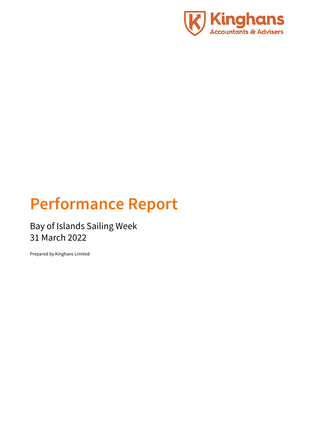

# **Performance Report**

Bay of Islands Sailing Week 31 March 2022

Prepared by Kinghans Limited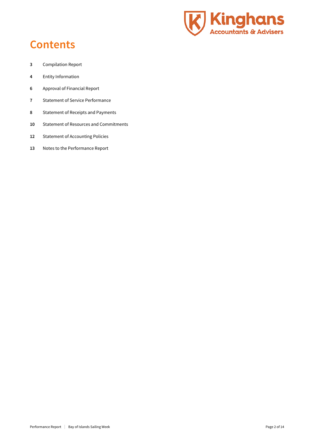

## **Contents**

- Compilation Report
- Entity Information
- Approval of Financial Report
- Statement of Service Performance
- Statement of Receipts and Payments
- Statement of Resources and Commitments
- Statement of Accounting Policies
- Notes to the Performance Report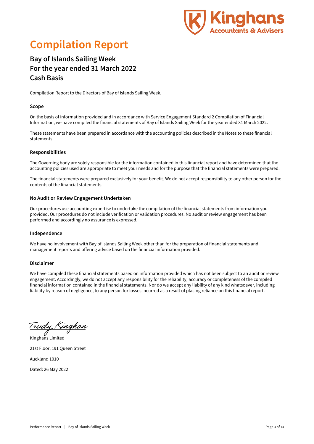

## **Compilation Report**

### **Bay of Islands Sailing Week For the year ended 31 March 2022 Cash Basis**

Compilation Report to the Directors of Bay of Islands Sailing Week.

### **Scope**

On the basis of information provided and in accordance with Service Engagement Standard 2 Compilation of Financial Information, we have compiled the financial statements of Bay of Islands Sailing Week for the year ended 31 March 2022.

These statements have been prepared in accordance with the accounting policies described in the Notes to these financial statements.

### **Responsibilities**

The Governing body are solely responsible for the information contained in this financial report and have determined that the accounting policies used are appropriate to meet your needs and for the purpose that the financial statements were prepared.

The financial statements were prepared exclusively for your benefit. We do not accept responsibility to any other person for the contents of the financial statements.

### **No Audit or Review Engagement Undertaken**

Our procedures use accounting expertise to undertake the compilation of the financial statements from information you provided. Our procedures do not include verification or validation procedures. No audit or review engagement has been performed and accordingly no assurance is expressed.

### **Independence**

We have no involvement with Bay of Islands Sailing Week other than for the preparation of financial statements and management reports and offering advice based on the financial information provided.

#### **Disclaimer**

We have compiled these financial statements based on information provided which has not been subject to an audit or review engagement. Accordingly, we do not accept any responsibility for the reliability, accuracy or completeness of the compiled financial information contained in the financial statements. Nor do we accept any liability of any kind whatsoever, including liability by reason of negligence, to any person for losses incurred as a result of placing reliance on this financial report.

<u> Trudy Kinghan</u> Kinghans Limited

21st Floor, 191 Queen Street Auckland 1010 Dated: 26 May 2022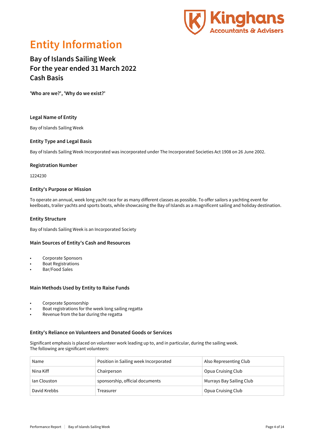

## **Entity Information**

### **Bay of Islands Sailing Week For the year ended 31 March 2022 Cash Basis**

**'Who are we?', 'Why do we exist?'**

### **Legal Name of Entity**

Bay of Islands Sailing Week

### **Entity Type and Legal Basis**

Bay of Islands Sailing Week Incorporated was incorporated under The Incorporated Societies Act 1908 on 26 June 2002.

#### **Registration Number**

1224230

#### **Entity's Purpose or Mission**

To operate an annual, week long yacht race for as many different classes as possible. To offer sailors a yachting event for keelboats, trailer yachts and sports boats, while showcasing the Bay of Islands as a magnificent sailing and holiday destination.

### **Entity Structure**

Bay of Islands Sailing Week is an Incorporated Society

### **Main Sources of Entity's Cash and Resources**

- Corporate Sponsors
- Boat Registrations
- Bar/Food Sales

### **Main Methods Used by Entity to Raise Funds**

- Corporate Sponsorship
- Boat registrations for the week long sailing regatta
- Revenue from the bar during the regatta

### **Entity's Reliance on Volunteers and Donated Goods or Services**

Significant emphasis is placed on volunteer work leading up to, and in particular, during the sailing week. The following are significant volunteers:

| Name         | Position in Sailing week Incorporated | Also Representing Club   |
|--------------|---------------------------------------|--------------------------|
| Nina Kiff    | Chairperson                           | Opua Cruising Club       |
| Ian Clouston | sponsorship, official documents       | Murrays Bay Sailing Club |
| David Krebbs | Treasurer                             | Opua Cruising Club       |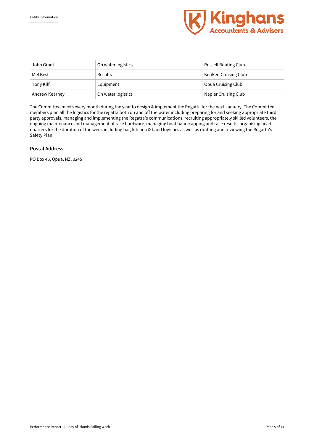

| John Grant     | On water logistics | Russell Boating Club   |
|----------------|--------------------|------------------------|
| Mel Best       | Results            | Kerikeri Cruising Club |
| Tony Kiff      | Equipment          | Opua Cruising Club     |
| Andrew Kearney | On water logistics | Napier Cruising Club   |

The Committee meets every month during the year to design & implement the Regatta for the next January. The Committee members plan all the logistics for the regatta both on and off the water including preparing for and seeking appropriate third party approvals, managing and implementing the Regatta's communications, recruiting appropriately skilled volunteers, the ongoing maintenance and management of race hardware, managing boat handicapping and race results, organising head quarters for the duration of the week including bar, kitchen & band logistics as well as drafting and reviewing the Regatta's Safety Plan.

### **Postal Address**

PO Box 45, Opua, NZ, 0245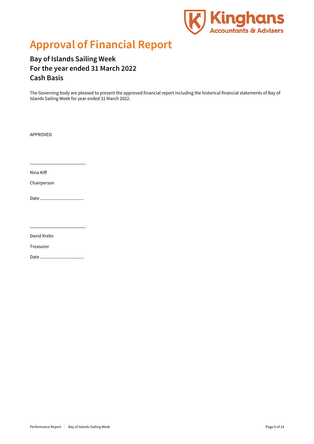

## **Approval of Financial Report**

**Bay of Islands Sailing Week For the year ended 31 March 2022 Cash Basis**

The Governing body are pleased to present the approved financial report including the historical financial statements of Bay of Islands Sailing Week for year ended 31 March 2022.

APPROVED

Nina Kiff

Chairperson

Date .....................................

David Krebs

Treasurer

Date .....................................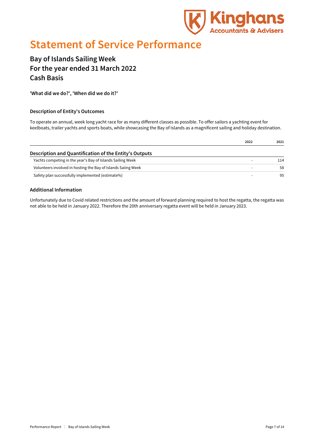

## **Statement of Service Performance**

### **Bay of Islands Sailing Week For the year ended 31 March 2022 Cash Basis**

**'What did we do?', 'When did we do it?'**

### **Description of Entity's Outcomes**

To operate an annual, week long yacht race for as many different classes as possible. To offer sailors a yachting event for keelboats, trailer yachts and sports boats, while showcasing the Bay of Islands as a magnificent sailing and holiday destination.

|                                                               | 2022 | 2021 |
|---------------------------------------------------------------|------|------|
| Description and Quantification of the Entity's Outputs        |      |      |
| Yachts competing in the year's Bay of Islands Sailing Week    |      | 114  |
| Volunteers involved in hosting the Bay of Islands Saiing Week |      | 58   |
| Safety plan successfully implemented (estimate%)              |      | 95   |

### **Additional Information**

Unfortunately due to Covid related restrictions and the amount of forward planning required to host the regatta, the regatta was not able to be held in January 2022. Therefore the 20th anniversary regatta event will be held in January 2023.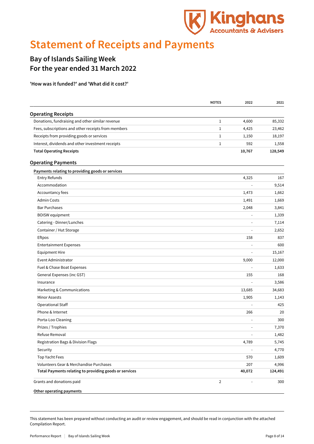

## **Statement of Receipts and Payments**

### **Bay of Islands Sailing Week For the year ended 31 March 2022**

**'How was it funded?' and 'What did it cost?'**

|                                                        | <b>NOTES</b>   | 2022   | 2021    |
|--------------------------------------------------------|----------------|--------|---------|
| <b>Operating Receipts</b>                              |                |        |         |
| Donations, fundraising and other similar revenue       | 1              | 4,600  | 85,332  |
| Fees, subscriptions and other receipts from members    | 1              | 4,425  | 23,462  |
| Receipts from providing goods or services              | 1              | 1,150  | 18,197  |
| Interest, dividends and other investment receipts      | 1              | 592    | 1,558   |
| <b>Total Operating Receipts</b>                        |                | 10,767 | 128,549 |
| <b>Operating Payments</b>                              |                |        |         |
| Payments relating to providing goods or services       |                |        |         |
| Entry Refunds                                          |                | 4,325  | 167     |
| Accommodation                                          |                |        | 9,514   |
| Accountancy fees                                       |                | 1,473  | 1,662   |
| <b>Admin Costs</b>                                     |                | 1,491  | 1,669   |
| <b>Bar Purchases</b>                                   |                | 2,048  | 3,841   |
| <b>BOISW</b> equipment                                 |                |        | 1,339   |
| Catering - Dinner/Lunches                              |                |        | 7,114   |
| Container / Hut Storage                                |                |        | 2,652   |
| Eftpos                                                 |                | 158    | 837     |
| <b>Entertainment Expenses</b>                          |                |        | 600     |
| <b>Equipment Hire</b>                                  |                |        | 15,167  |
| Event Administrator                                    |                | 9,000  | 12,000  |
| Fuel & Chase Boat Expenses                             |                |        | 1,633   |
| General Expenses (inc GST)                             |                | 155    | 168     |
| Insurance                                              |                |        | 3,586   |
| Marketing & Communications                             |                | 13,685 | 34,683  |
| Minor Assests                                          |                | 1,905  | 1,143   |
| <b>Operational Staff</b>                               |                |        | 425     |
| Phone & Internet                                       |                | 266    | 20      |
| Porta-Loo Cleaning                                     |                |        | 300     |
| Prizes / Trophies                                      |                |        | 7,370   |
| Refuse Removal                                         |                |        | 1,482   |
| Registration Bags & Division Flags                     |                | 4,789  | 5,745   |
| Security                                               |                |        | 4,770   |
| Top Yacht Fees                                         |                | 570    | 1,609   |
| Volunteers Gear & Merchandise Purchases                |                | 207    | 4,996   |
| Total Payments relating to providing goods or services |                | 40,072 | 124,491 |
| Grants and donations paid                              | $\overline{2}$ |        | 300     |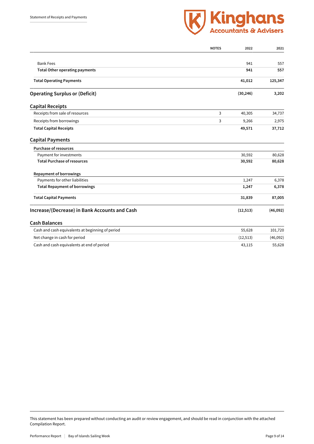

|                                                  | <b>NOTES</b> | 2022      | 2021     |
|--------------------------------------------------|--------------|-----------|----------|
|                                                  |              |           |          |
| <b>Bank Fees</b>                                 |              | 941       | 557      |
| <b>Total Other operating payments</b>            |              | 941       | 557      |
| <b>Total Operating Payments</b>                  |              | 41,012    | 125,347  |
| <b>Operating Surplus or (Deficit)</b>            |              | (30, 246) | 3,202    |
| <b>Capital Receipts</b>                          |              |           |          |
| Receipts from sale of resources                  | 3            | 40,305    | 34,737   |
| Receipts from borrowings                         | 3            | 9,266     | 2,975    |
| <b>Total Capital Receipts</b>                    |              | 49,571    | 37,712   |
| <b>Capital Payments</b>                          |              |           |          |
| <b>Purchase of resources</b>                     |              |           |          |
| Payment for investments                          |              | 30,592    | 80,628   |
| <b>Total Purchase of resources</b>               |              | 30,592    | 80,628   |
| <b>Repayment of borrowings</b>                   |              |           |          |
| Payments for other liabilities                   |              | 1,247     | 6,378    |
| <b>Total Repayment of borrowings</b>             |              | 1,247     | 6,378    |
| <b>Total Capital Payments</b>                    |              | 31,839    | 87,005   |
| Increase/(Decrease) in Bank Accounts and Cash    |              | (12, 513) | (46,092) |
| <b>Cash Balances</b>                             |              |           |          |
| Cash and cash equivalents at beginning of period |              | 55,628    | 101,720  |
| Net change in cash for period                    |              | (12, 513) | (46,092) |
| Cash and cash equivalents at end of period       |              | 43,115    | 55,628   |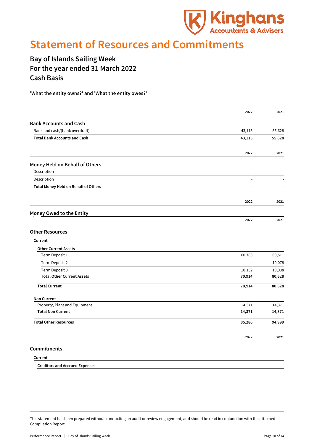

### **Statement of Resources and Commitments**

### **Bay of Islands Sailing Week For the year ended 31 March 2022 Cash Basis**

**'What the entity owns?' and 'What the entity owes?'**

|                                       | 2022                     | 2021   |
|---------------------------------------|--------------------------|--------|
| <b>Bank Accounts and Cash</b>         |                          |        |
| Bank and cash/(bank overdraft)        | 43,115                   | 55,628 |
| <b>Total Bank Accounts and Cash</b>   | 43,115                   | 55,628 |
|                                       | 2022                     | 2021   |
| Money Held on Behalf of Others        |                          |        |
| Description                           | $\blacksquare$           |        |
| Description                           | $\overline{a}$           |        |
| Total Money Held on Behalf of Others  |                          |        |
|                                       | 2022                     | 2021   |
| Money Owed to the Entity              |                          |        |
|                                       | 2022                     | 2021   |
| <b>Other Resources</b>                |                          |        |
| Current                               |                          |        |
| <b>Other Current Assets</b>           |                          |        |
| Term Deposit 1                        | 60,783                   | 60,511 |
| Term Deposit 2                        | $\overline{\phantom{a}}$ | 10,078 |
| Term Deposit 3                        | 10,132                   | 10,038 |
| <b>Total Other Current Assets</b>     | 70,914                   | 80,628 |
| <b>Total Current</b>                  | 70,914                   | 80,628 |
| <b>Non Current</b>                    |                          |        |
| Property, Plant and Equipment         | 14,371                   | 14,371 |
| <b>Total Non Current</b>              | 14,371                   | 14,371 |
| <b>Total Other Resources</b>          | 85,286                   | 94,999 |
|                                       | 2022                     | 2021   |
| Commitments                           |                          |        |
| Current                               |                          |        |
| <b>Creditors and Accrued Expenses</b> |                          |        |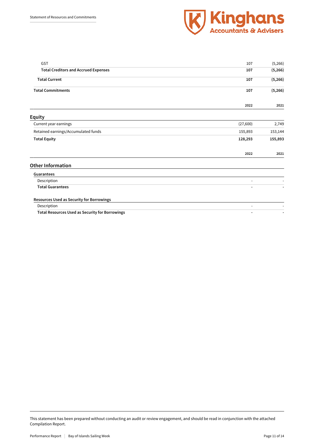

| GST                                                    | 107            | (5,266) |
|--------------------------------------------------------|----------------|---------|
| <b>Total Creditors and Accrued Expenses</b>            | 107            | (5,266) |
| <b>Total Current</b>                                   | 107            | (5,266) |
| <b>Total Commitments</b>                               | 107            | (5,266) |
|                                                        | 2022           | 2021    |
| <b>Equity</b>                                          |                |         |
| Current year earnings                                  | (27,600)       | 2,749   |
| Retained earnings/Accumulated funds                    | 155,893        | 153,144 |
| <b>Total Equity</b>                                    | 128,293        | 155,893 |
|                                                        | 2022           | 2021    |
| <b>Other Information</b>                               |                |         |
| Guarantees                                             |                |         |
| Description                                            | L,             |         |
| <b>Total Guarantees</b>                                |                |         |
| Resources Used as Security for Borrowings              |                |         |
| Description                                            | $\overline{a}$ |         |
| <b>Total Resources Used as Security for Borrowings</b> |                |         |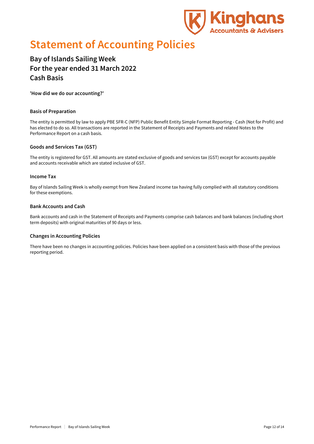

## **Statement of Accounting Policies**

### **Bay of Islands Sailing Week For the year ended 31 March 2022 Cash Basis**

**'How did we do our accounting?'**

### **Basis of Preparation**

The entity is permitted by law to apply PBE SFR-C (NFP) Public Benefit Entity Simple Format Reporting - Cash (Not for Profit) and has elected to do so. All transactions are reported in the Statement of Receipts and Payments and related Notes to the Performance Report on a cash basis.

### **Goods and Services Tax (GST)**

The entity is registered for GST. All amounts are stated exclusive of goods and services tax (GST) except for accounts payable and accounts receivable which are stated inclusive of GST.

#### **Income Tax**

Bay of Islands Sailing Week is wholly exempt from New Zealand income tax having fully complied with all statutory conditions for these exemptions.

### **Bank Accounts and Cash**

Bank accounts and cash in the Statement of Receipts and Payments comprise cash balances and bank balances (including short term deposits) with original maturities of 90 days or less.

### **Changes in Accounting Policies**

There have been no changes in accounting policies. Policies have been applied on a consistent basis with those of the previous reporting period.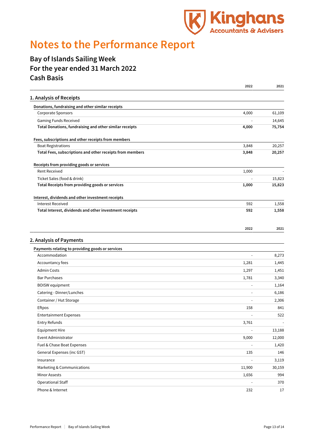

## **Notes to the Performance Report**

### **Bay of Islands Sailing Week For the year ended 31 March 2022 Cash Basis**

|                                                           | 2022           | 2021   |
|-----------------------------------------------------------|----------------|--------|
| 1. Analysis of Receipts                                   |                |        |
| Donations, fundraising and other similar receipts         |                |        |
| <b>Corporate Sponsors</b>                                 | 4,000          | 61,109 |
| Gaming Funds Received                                     |                | 14,645 |
| Total Donations, fundraising and other similar receipts   | 4,000          | 75,754 |
| Fees, subscriptions and other receipts from members       |                |        |
| <b>Boat Registrations</b>                                 | 3,848          | 20,257 |
| Total Fees, subscriptions and other receipts from members | 3,848          | 20,257 |
| Receipts from providing goods or services                 |                |        |
| <b>Rent Received</b>                                      | 1,000          |        |
| Ticket Sales (food & drink)                               |                | 15,823 |
| Total Receipts from providing goods or services           | 1,000          | 15,823 |
| Interest, dividends and other investment receipts         |                |        |
| <b>Interest Received</b>                                  | 592            | 1,558  |
| Total Interest, dividends and other investment receipts   | 592            | 1,558  |
|                                                           | 2022           | 2021   |
|                                                           |                |        |
| 2. Analysis of Payments                                   |                |        |
| Payments relating to providing goods or services          |                |        |
| Accommodation                                             | $\sim$         | 8,273  |
| Accountancy fees                                          | 1,281          | 1,445  |
| <b>Admin Costs</b>                                        | 1,297          | 1,451  |
| <b>Bar Purchases</b>                                      | 1,781          | 3,340  |
| <b>BOISW</b> equipment                                    |                | 1,164  |
| Catering - Dinner/Lunches                                 |                | 6,186  |
| Container / Hut Storage                                   |                | 2,306  |
| Eftpos                                                    | 158            | 841    |
| <b>Entertainment Expenses</b>                             |                | 522    |
| Entry Refunds                                             | 3,761          |        |
| <b>Equipment Hire</b>                                     |                | 13,188 |
| Event Administrator                                       | 9,000          | 12,000 |
| Fuel & Chase Boat Expenses                                |                | 1,420  |
| General Expenses (inc GST)                                | 135            | 146    |
| Insurance                                                 | $\overline{a}$ | 3,119  |
| Marketing & Communications                                | 11,900         | 30,159 |
| <b>Minor Assests</b>                                      | 1,656          | 994    |
| <b>Operational Staff</b>                                  | L,             | 370    |
| Phone & Internet                                          | 232            | 17     |